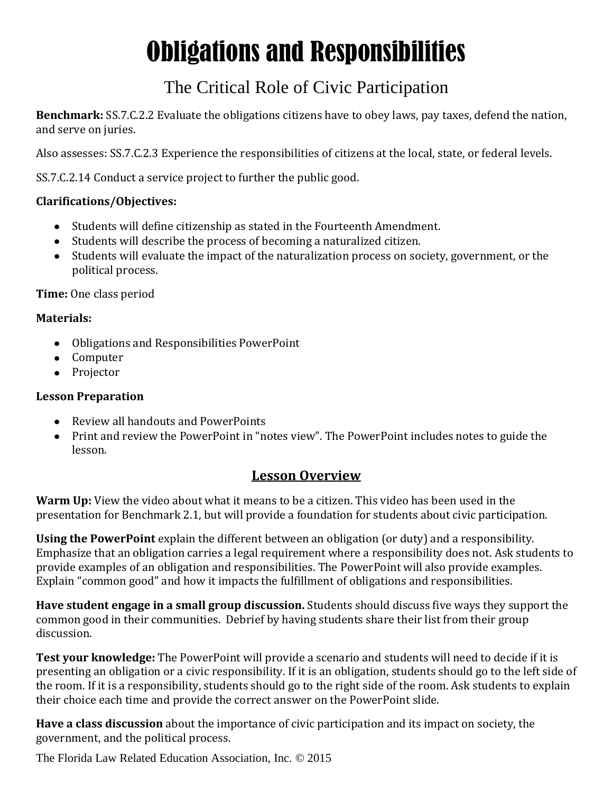# Obligations and Responsibilities

## The Critical Role of Civic Participation

**Benchmark:** SS.7.C.2.2 Evaluate the obligations citizens have to obey laws, pay taxes, defend the nation, and serve on juries.

Also assesses: SS.7.C.2.3 Experience the responsibilities of citizens at the local, state, or federal levels.

SS.7.C.2.14 Conduct a service project to further the public good.

#### **Clarifications/Objectives:**

- Students will define citizenship as stated in the Fourteenth Amendment.
- Students will describe the process of becoming a naturalized citizen.
- Students will evaluate the impact of the naturalization process on society, government, or the political process.

**Time:** One class period

#### **Materials:**

- Obligations and Responsibilities PowerPoint
- Computer
- Projector

#### **Lesson Preparation**

- Review all handouts and PowerPoints
- Print and review the PowerPoint in "notes view". The PowerPoint includes notes to guide the lesson.

### **Lesson Overview**

**Warm Up:** View the video about what it means to be a citizen. This video has been used in the presentation for Benchmark 2.1, but will provide a foundation for students about civic participation.

**Using the PowerPoint** explain the different between an obligation (or duty) and a responsibility. Emphasize that an obligation carries a legal requirement where a responsibility does not. Ask students to provide examples of an obligation and responsibilities. The PowerPoint will also provide examples. Explain "common good" and how it impacts the fulfillment of obligations and responsibilities.

**Have student engage in a small group discussion.** Students should discuss five ways they support the common good in their communities. Debrief by having students share their list from their group discussion.

**Test your knowledge:** The PowerPoint will provide a scenario and students will need to decide if it is presenting an obligation or a civic responsibility. If it is an obligation, students should go to the left side of the room. If it is a responsibility, students should go to the right side of the room. Ask students to explain their choice each time and provide the correct answer on the PowerPoint slide.

**Have a class discussion** about the importance of civic participation and its impact on society, the government, and the political process.

The Florida Law Related Education Association, Inc. © 2015